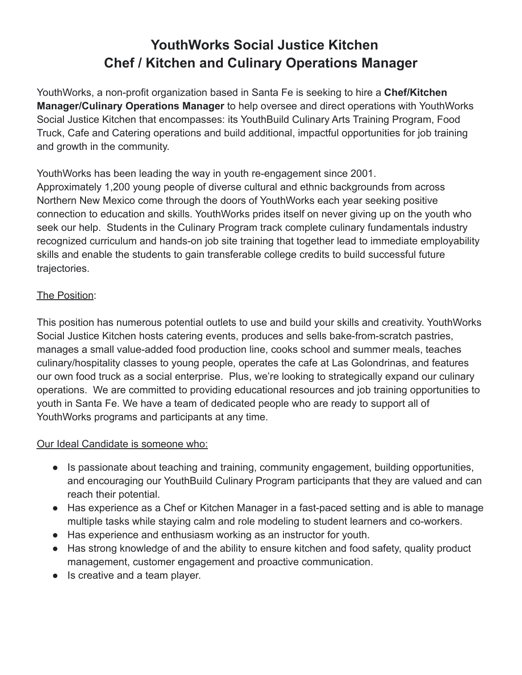# **YouthWorks Social Justice Kitchen Chef / Kitchen and Culinary Operations Manager**

YouthWorks, a non-profit organization based in Santa Fe is seeking to hire a **Chef/Kitchen Manager/Culinary Operations Manager** to help oversee and direct operations with YouthWorks Social Justice Kitchen that encompasses: its YouthBuild Culinary Arts Training Program, Food Truck, Cafe and Catering operations and build additional, impactful opportunities for job training and growth in the community.

YouthWorks has been leading the way in youth re-engagement since 2001. Approximately 1,200 young people of diverse cultural and ethnic backgrounds from across Northern New Mexico come through the doors of YouthWorks each year seeking positive connection to education and skills. YouthWorks prides itself on never giving up on the youth who seek our help. Students in the Culinary Program track complete culinary fundamentals industry recognized curriculum and hands-on job site training that together lead to immediate employability skills and enable the students to gain transferable college credits to build successful future trajectories.

## The Position:

This position has numerous potential outlets to use and build your skills and creativity. YouthWorks Social Justice Kitchen hosts catering events, produces and sells bake-from-scratch pastries, manages a small value-added food production line, cooks school and summer meals, teaches culinary/hospitality classes to young people, operates the cafe at Las Golondrinas, and features our own food truck as a social enterprise. Plus, we're looking to strategically expand our culinary operations. We are committed to providing educational resources and job training opportunities to youth in Santa Fe. We have a team of dedicated people who are ready to support all of YouthWorks programs and participants at any time.

## Our Ideal Candidate is someone who:

- Is passionate about teaching and training, community engagement, building opportunities, and encouraging our YouthBuild Culinary Program participants that they are valued and can reach their potential.
- Has experience as a Chef or Kitchen Manager in a fast-paced setting and is able to manage multiple tasks while staying calm and role modeling to student learners and co-workers.
- Has experience and enthusiasm working as an instructor for youth.
- Has strong knowledge of and the ability to ensure kitchen and food safety, quality product management, customer engagement and proactive communication.
- Is creative and a team player.